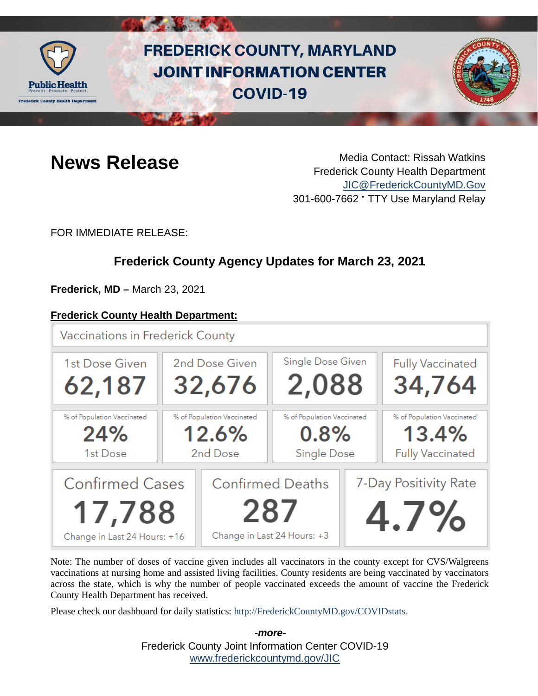

# **FREDERICK COUNTY, MARYLAND JOINT INFORMATION CENTER COVID-19**



**News Release** Media Contact: Rissah Watkins Frederick County Health Department [JIC@FrederickCountyMD.Gov](mailto:JIC@FrederickCountyMD.Gov) 301-600-7662 • TTY Use Maryland Relay

FOR IMMEDIATE RELEASE:

# **Frederick County Agency Updates for March 23, 2021**

**Frederick, MD –** March 23, 2021

#### **Frederick County Health Department:**



Note: The number of doses of vaccine given includes all vaccinators in the county except for CVS/Walgreens vaccinations at nursing home and assisted living facilities. County residents are being vaccinated by vaccinators across the state, which is why the number of people vaccinated exceeds the amount of vaccine the Frederick County Health Department has received.

Please check our dashboard for daily statistics: [http://FrederickCountyMD.gov/COVIDstats.](http://frederickcountymd.gov/COVIDstats)

Frederick County Joint Information Center COVID-19 [www.frederickcountymd.gov/JIC](https://frederickcountymd.gov/JIC) *-more-*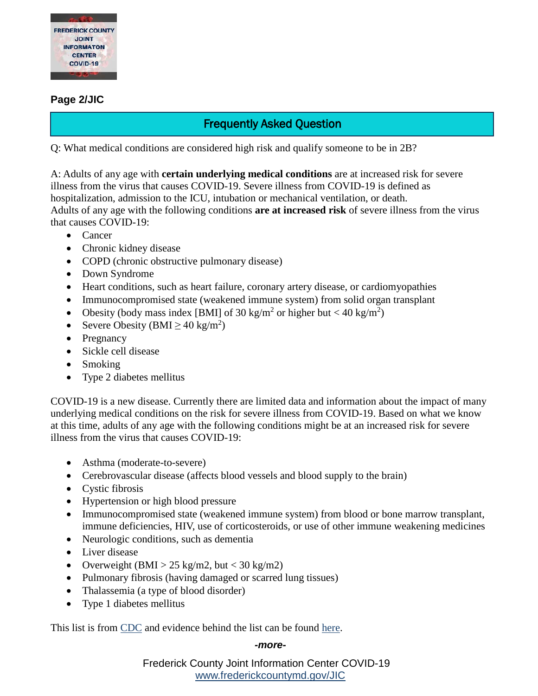

#### **Page 2/JIC**

# Frequently Asked Question

Q: What medical conditions are considered high risk and qualify someone to be in 2B?

A: Adults of any age with **certain underlying medical conditions** are at increased risk for severe illness from the virus that causes COVID-19. Severe illness from COVID-19 is defined as hospitalization, admission to the ICU, intubation or mechanical ventilation, or death. Adults of any age with the following conditions **are at increased risk** of severe illness from the virus that causes COVID-19:

- Cancer
- Chronic kidney disease
- COPD (chronic obstructive pulmonary disease)
- Down Syndrome
- Heart conditions, such as heart failure, coronary artery disease, or cardiomyopathies
- Immunocompromised state (weakened immune system) from solid organ transplant
- Obesity (body mass index [BMI] of 30 kg/m<sup>2</sup> or higher but < 40 kg/m<sup>2</sup>)
- Severe Obesity (BMI  $\geq 40 \text{ kg/m}^2$ )
- Pregnancy
- Sickle cell disease
- Smoking
- Type 2 diabetes mellitus

COVID-19 is a new disease. Currently there are limited data and information about the impact of many underlying medical conditions on the risk for severe illness from COVID-19. Based on what we know at this time, adults of any age with the following conditions might be at an increased risk for severe illness from the virus that causes COVID-19:

- Asthma (moderate-to-severe)
- Cerebrovascular disease (affects blood vessels and blood supply to the brain)
- Cystic fibrosis
- Hypertension or high blood pressure
- Immunocompromised state (weakened immune system) from blood or bone marrow transplant, immune deficiencies, HIV, use of corticosteroids, or use of other immune weakening medicines
- Neurologic conditions, such as dementia
- Liver disease
- Overweight (BMI > 25 kg/m2, but < 30 kg/m2)
- Pulmonary fibrosis (having damaged or scarred lung tissues)
- Thalassemia (a type of blood disorder)
- Type 1 diabetes mellitus

This list is from [CDC](https://www.cdc.gov/coronavirus/2019-ncov/need-extra-precautions/people-with-medical-conditions.html) and evidence behind the list can be found [here.](https://www.cdc.gov/coronavirus/2019-ncov/need-extra-precautions/evidence-table.html)

#### *-more-*

Frederick County Joint Information Center COVID-19 [www.frederickcountymd.gov/JIC](https://frederickcountymd.gov/JIC)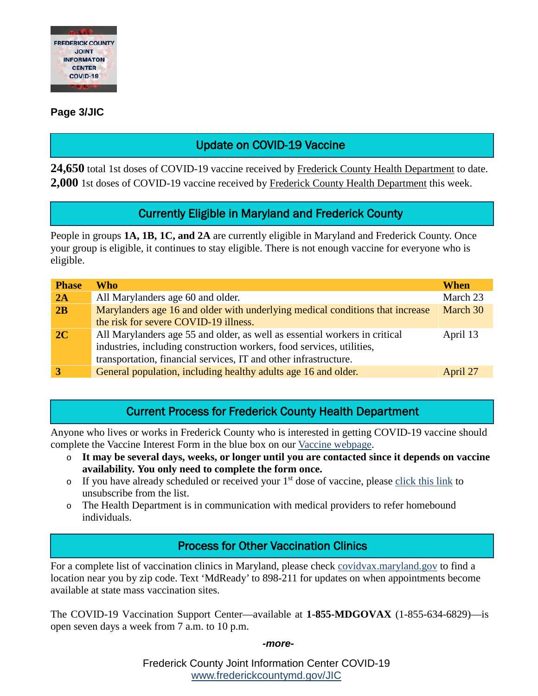

#### **Page 3/JIC**

# Update on COVID-19 Vaccine

24,650 total 1st doses of COVID-19 vaccine received by Frederick County Health Department to date. **2,000** 1st doses of COVID-19 vaccine received by Frederick County Health Department this week.

## Currently Eligible in Maryland and Frederick County

People in groups **1A, 1B, 1C, and 2A** are currently eligible in Maryland and Frederick County. Once your group is eligible, it continues to stay eligible. There is not enough vaccine for everyone who is eligible.

| <b>Phase</b> | Who                                                                                                                                                                                                                     | <b>When</b> |
|--------------|-------------------------------------------------------------------------------------------------------------------------------------------------------------------------------------------------------------------------|-------------|
| 2A           | All Marylanders age 60 and older.                                                                                                                                                                                       | March 23    |
| 2B           | Marylanders age 16 and older with underlying medical conditions that increase                                                                                                                                           | March 30    |
|              | the risk for severe COVID-19 illness.                                                                                                                                                                                   |             |
| 2C           | All Marylanders age 55 and older, as well as essential workers in critical<br>industries, including construction workers, food services, utilities,<br>transportation, financial services, IT and other infrastructure. | April 13    |
|              | General population, including healthy adults age 16 and older.                                                                                                                                                          | April 27    |

#### Current Process for Frederick County Health Department

Anyone who lives or works in Frederick County who is interested in getting COVID-19 vaccine should complete the Vaccine Interest Form in the blue box on our [Vaccine webpage.](https://health.frederickcountymd.gov/629/COVID-19-Vaccine)

- o **It may be several days, weeks, or longer until you are contacted since it depends on vaccine availability. You only need to complete the form once.**
- $\circ$  If you have already scheduled or received your 1<sup>st</sup> dose of vaccine, please [click this link](https://ww3.frederickcountymd.gov/VaccineInterest/Forms/Withdraw) to unsubscribe from the list.
- o The Health Department is in communication with medical providers to refer homebound individuals.

### Process for Other Vaccination Clinics

For a complete list of vaccination clinics in Maryland, please check [covidvax.maryland.gov](https://covidvax.maryland.gov/) to find a location near you by zip code. Text 'MdReady' to 898-211 for updates on when appointments become available at state mass vaccination sites.

The COVID-19 Vaccination Support Center—available at **1-855-MDGOVAX** (1-855-634-6829)—is open seven days a week from 7 a.m. to 10 p.m.

*-more-*

Frederick County Joint Information Center COVID-19 [www.frederickcountymd.gov/JIC](https://frederickcountymd.gov/JIC)